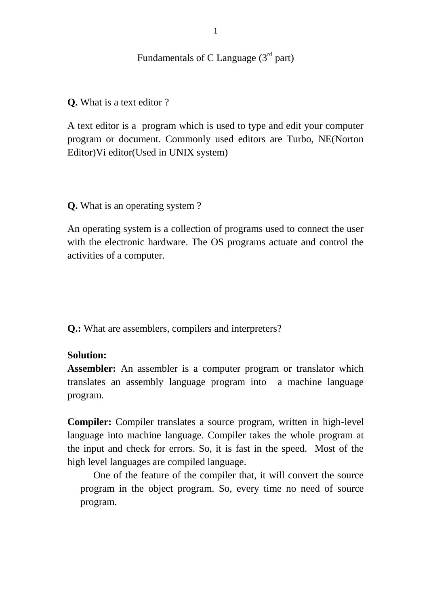Fundamentals of C Language  $(3<sup>rd</sup>$  part)

**Q.** What is a text editor ?

A text editor is a program which is used to type and edit your computer program or document. Commonly used editors are Turbo, NE(Norton Editor)Vi editor(Used in UNIX system)

**Q.** What is an operating system ?

An operating system is a collection of programs used to connect the user with the electronic hardware. The OS programs actuate and control the activities of a computer.

**Q.:** What are assemblers, compilers and interpreters?

# **Solution:**

**Assembler:** An assembler is a computer program or translator which translates an assembly language program into a machine language program.

**Compiler:** Compiler translates a source program, written in high-level language into machine language. Compiler takes the whole program at the input and check for errors. So, it is fast in the speed. Most of the high level languages are compiled language.

One of the feature of the compiler that, it will convert the source program in the object program. So, every time no need of source program.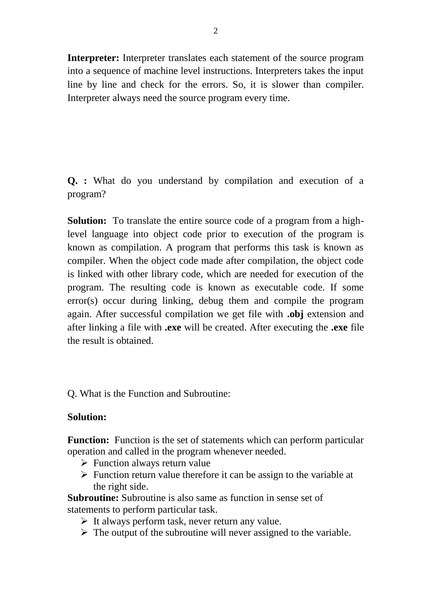**Interpreter:** Interpreter translates each statement of the source program into a sequence of machine level instructions. Interpreters takes the input line by line and check for the errors. So, it is slower than compiler. Interpreter always need the source program every time.

**Q. :** What do you understand by compilation and execution of a program?

**Solution:** To translate the entire source code of a program from a highlevel language into object code prior to execution of the program is known as compilation. A program that performs this task is known as compiler. When the object code made after compilation, the object code is linked with other library code, which are needed for execution of the program. The resulting code is known as executable code. If some error(s) occur during linking, debug them and compile the program again. After successful compilation we get file with **.obj** extension and after linking a file with **.exe** will be created. After executing the **.exe** file the result is obtained.

Q. What is the Function and Subroutine:

# **Solution:**

**Function:** Function is the set of statements which can perform particular operation and called in the program whenever needed.

- $\triangleright$  Function always return value
- $\triangleright$  Function return value therefore it can be assign to the variable at the right side.

**Subroutine:** Subroutine is also same as function in sense set of statements to perform particular task.

- $\triangleright$  It always perform task, never return any value.
- $\triangleright$  The output of the subroutine will never assigned to the variable.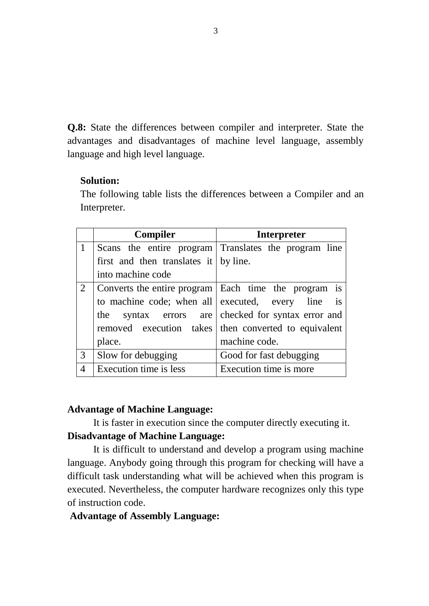**Q.8:** State the differences between compiler and interpreter. State the advantages and disadvantages of machine level language, assembly language and high level language.

## **Solution:**

The following table lists the differences between a Compiler and an Interpreter.

|   | <b>Compiler</b>                               | <b>Interpreter</b>                                     |
|---|-----------------------------------------------|--------------------------------------------------------|
|   |                                               | Scans the entire program Translates the program line   |
|   | first and then translates it $\vert$ by line. |                                                        |
|   | into machine code                             |                                                        |
| 2 |                                               | Converts the entire program   Each time the program is |
|   |                                               | to machine code; when all executed, every line is      |
|   |                                               | the syntax errors are checked for syntax error and     |
|   |                                               | removed execution takes then converted to equivalent   |
|   | place.                                        | machine code.                                          |
| 3 | Slow for debugging                            | Good for fast debugging                                |
| 4 | Execution time is less                        | Execution time is more                                 |

#### **Advantage of Machine Language:**

It is faster in execution since the computer directly executing it. **Disadvantage of Machine Language:**

It is difficult to understand and develop a program using machine language. Anybody going through this program for checking will have a difficult task understanding what will be achieved when this program is executed. Nevertheless, the computer hardware recognizes only this type of instruction code.

#### **Advantage of Assembly Language:**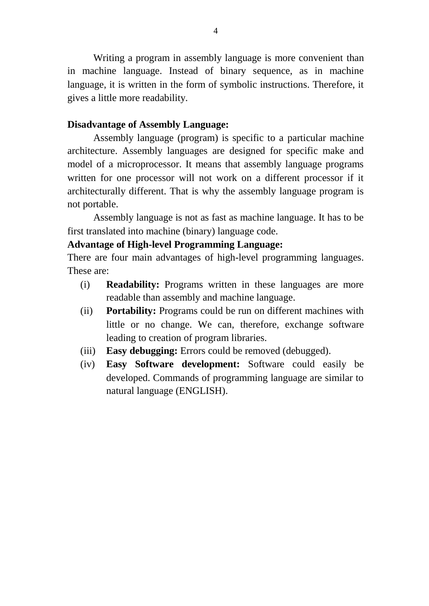Writing a program in assembly language is more convenient than in machine language. Instead of binary sequence, as in machine language, it is written in the form of symbolic instructions. Therefore, it gives a little more readability.

#### **Disadvantage of Assembly Language:**

Assembly language (program) is specific to a particular machine architecture. Assembly languages are designed for specific make and model of a microprocessor. It means that assembly language programs written for one processor will not work on a different processor if it architecturally different. That is why the assembly language program is not portable.

Assembly language is not as fast as machine language. It has to be first translated into machine (binary) language code.

## **Advantage of High-level Programming Language:**

There are four main advantages of high-level programming languages. These are:

- (i) **Readability:** Programs written in these languages are more readable than assembly and machine language.
- (ii) **Portability:** Programs could be run on different machines with little or no change. We can, therefore, exchange software leading to creation of program libraries.
- (iii) **Easy debugging:** Errors could be removed (debugged).
- (iv) **Easy Software development:** Software could easily be developed. Commands of programming language are similar to natural language (ENGLISH).